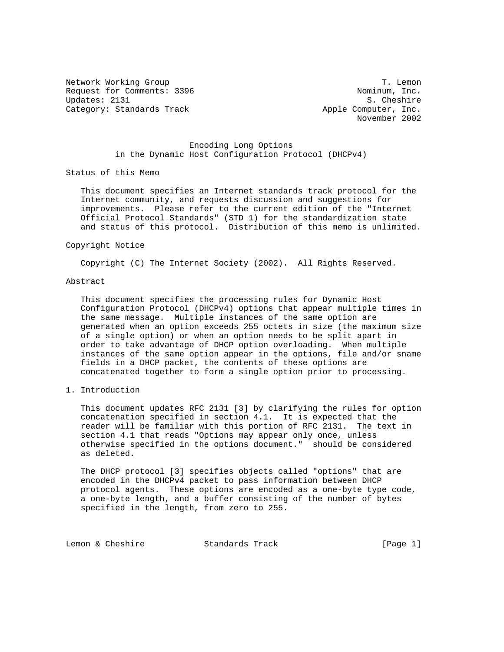Network Working Group 1. The T. Lemon 1. T. Lemon 1. T. Lemon 1. T. Lemon 1. T. Lemon 1. T. Lemon 1. T. C. Request for Comments: 3396 Updates: 2131 S. Cheshire Category: Standards Track Apple Computer, Inc.

November 2002

# Encoding Long Options in the Dynamic Host Configuration Protocol (DHCPv4)

Status of this Memo

 This document specifies an Internet standards track protocol for the Internet community, and requests discussion and suggestions for improvements. Please refer to the current edition of the "Internet Official Protocol Standards" (STD 1) for the standardization state and status of this protocol. Distribution of this memo is unlimited.

### Copyright Notice

Copyright (C) The Internet Society (2002). All Rights Reserved.

# Abstract

 This document specifies the processing rules for Dynamic Host Configuration Protocol (DHCPv4) options that appear multiple times in the same message. Multiple instances of the same option are generated when an option exceeds 255 octets in size (the maximum size of a single option) or when an option needs to be split apart in order to take advantage of DHCP option overloading. When multiple instances of the same option appear in the options, file and/or sname fields in a DHCP packet, the contents of these options are concatenated together to form a single option prior to processing.

# 1. Introduction

 This document updates RFC 2131 [3] by clarifying the rules for option concatenation specified in section 4.1. It is expected that the reader will be familiar with this portion of RFC 2131. The text in section 4.1 that reads "Options may appear only once, unless otherwise specified in the options document." should be considered as deleted.

 The DHCP protocol [3] specifies objects called "options" that are encoded in the DHCPv4 packet to pass information between DHCP protocol agents. These options are encoded as a one-byte type code, a one-byte length, and a buffer consisting of the number of bytes specified in the length, from zero to 255.

Lemon & Cheshire Standards Track [Page 1]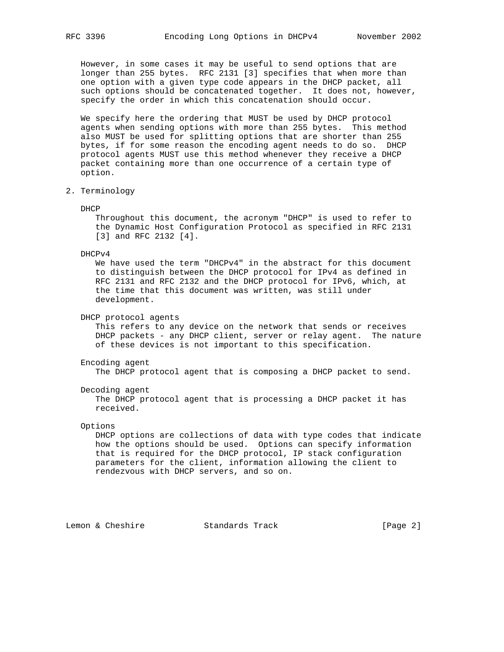However, in some cases it may be useful to send options that are longer than 255 bytes. RFC 2131 [3] specifies that when more than one option with a given type code appears in the DHCP packet, all such options should be concatenated together. It does not, however, specify the order in which this concatenation should occur.

 We specify here the ordering that MUST be used by DHCP protocol agents when sending options with more than 255 bytes. This method also MUST be used for splitting options that are shorter than 255 bytes, if for some reason the encoding agent needs to do so. DHCP protocol agents MUST use this method whenever they receive a DHCP packet containing more than one occurrence of a certain type of option.

2. Terminology

DHCP

 Throughout this document, the acronym "DHCP" is used to refer to the Dynamic Host Configuration Protocol as specified in RFC 2131 [3] and RFC 2132 [4].

DHCPv4

 We have used the term "DHCPv4" in the abstract for this document to distinguish between the DHCP protocol for IPv4 as defined in RFC 2131 and RFC 2132 and the DHCP protocol for IPv6, which, at the time that this document was written, was still under development.

DHCP protocol agents

 This refers to any device on the network that sends or receives DHCP packets - any DHCP client, server or relay agent. The nature of these devices is not important to this specification.

### Encoding agent

The DHCP protocol agent that is composing a DHCP packet to send.

#### Decoding agent

 The DHCP protocol agent that is processing a DHCP packet it has received.

### Options

 DHCP options are collections of data with type codes that indicate how the options should be used. Options can specify information that is required for the DHCP protocol, IP stack configuration parameters for the client, information allowing the client to rendezvous with DHCP servers, and so on.

Lemon & Cheshire Standards Track [Page 2]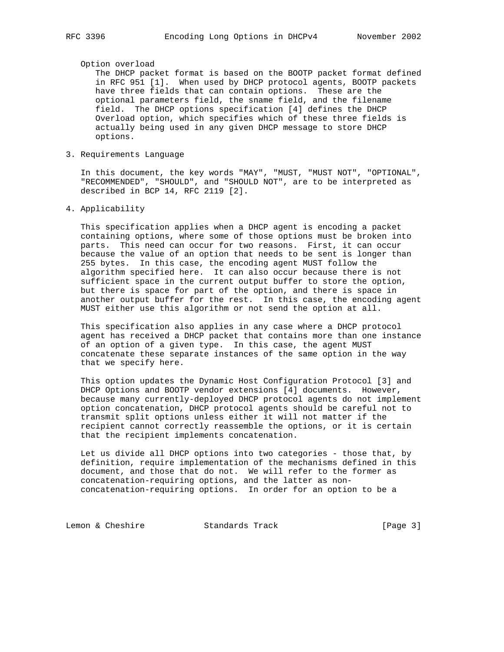### Option overload

 The DHCP packet format is based on the BOOTP packet format defined in RFC 951 [1]. When used by DHCP protocol agents, BOOTP packets have three fields that can contain options. These are the optional parameters field, the sname field, and the filename field. The DHCP options specification [4] defines the DHCP Overload option, which specifies which of these three fields is actually being used in any given DHCP message to store DHCP options.

# 3. Requirements Language

 In this document, the key words "MAY", "MUST, "MUST NOT", "OPTIONAL", "RECOMMENDED", "SHOULD", and "SHOULD NOT", are to be interpreted as described in BCP 14, RFC 2119 [2].

# 4. Applicability

 This specification applies when a DHCP agent is encoding a packet containing options, where some of those options must be broken into parts. This need can occur for two reasons. First, it can occur because the value of an option that needs to be sent is longer than 255 bytes. In this case, the encoding agent MUST follow the algorithm specified here. It can also occur because there is not sufficient space in the current output buffer to store the option, but there is space for part of the option, and there is space in another output buffer for the rest. In this case, the encoding agent MUST either use this algorithm or not send the option at all.

 This specification also applies in any case where a DHCP protocol agent has received a DHCP packet that contains more than one instance of an option of a given type. In this case, the agent MUST concatenate these separate instances of the same option in the way that we specify here.

 This option updates the Dynamic Host Configuration Protocol [3] and DHCP Options and BOOTP vendor extensions [4] documents. However, because many currently-deployed DHCP protocol agents do not implement option concatenation, DHCP protocol agents should be careful not to transmit split options unless either it will not matter if the recipient cannot correctly reassemble the options, or it is certain that the recipient implements concatenation.

 Let us divide all DHCP options into two categories - those that, by definition, require implementation of the mechanisms defined in this document, and those that do not. We will refer to the former as concatenation-requiring options, and the latter as non concatenation-requiring options. In order for an option to be a

Lemon & Cheshire Standards Track [Page 3]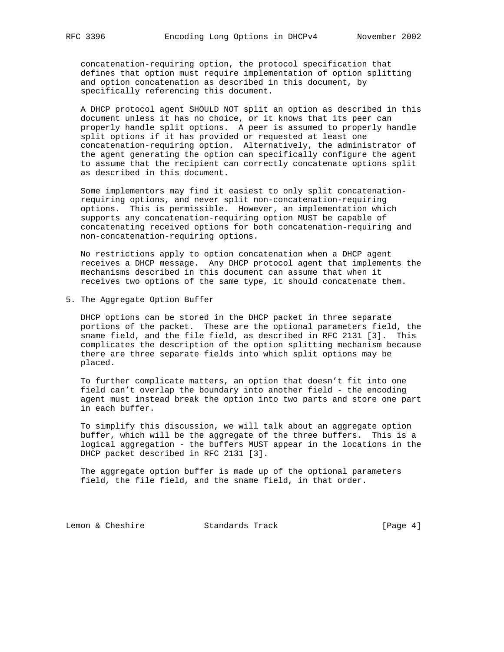concatenation-requiring option, the protocol specification that defines that option must require implementation of option splitting and option concatenation as described in this document, by specifically referencing this document.

 A DHCP protocol agent SHOULD NOT split an option as described in this document unless it has no choice, or it knows that its peer can properly handle split options. A peer is assumed to properly handle split options if it has provided or requested at least one concatenation-requiring option. Alternatively, the administrator of the agent generating the option can specifically configure the agent to assume that the recipient can correctly concatenate options split as described in this document.

 Some implementors may find it easiest to only split concatenation requiring options, and never split non-concatenation-requiring options. This is permissible. However, an implementation which supports any concatenation-requiring option MUST be capable of concatenating received options for both concatenation-requiring and non-concatenation-requiring options.

 No restrictions apply to option concatenation when a DHCP agent receives a DHCP message. Any DHCP protocol agent that implements the mechanisms described in this document can assume that when it receives two options of the same type, it should concatenate them.

5. The Aggregate Option Buffer

 DHCP options can be stored in the DHCP packet in three separate portions of the packet. These are the optional parameters field, the sname field, and the file field, as described in RFC 2131 [3]. This complicates the description of the option splitting mechanism because there are three separate fields into which split options may be placed.

 To further complicate matters, an option that doesn't fit into one field can't overlap the boundary into another field - the encoding agent must instead break the option into two parts and store one part in each buffer.

 To simplify this discussion, we will talk about an aggregate option buffer, which will be the aggregate of the three buffers. This is a logical aggregation - the buffers MUST appear in the locations in the DHCP packet described in RFC 2131 [3].

 The aggregate option buffer is made up of the optional parameters field, the file field, and the sname field, in that order.

Lemon & Cheshire Standards Track [Page 4]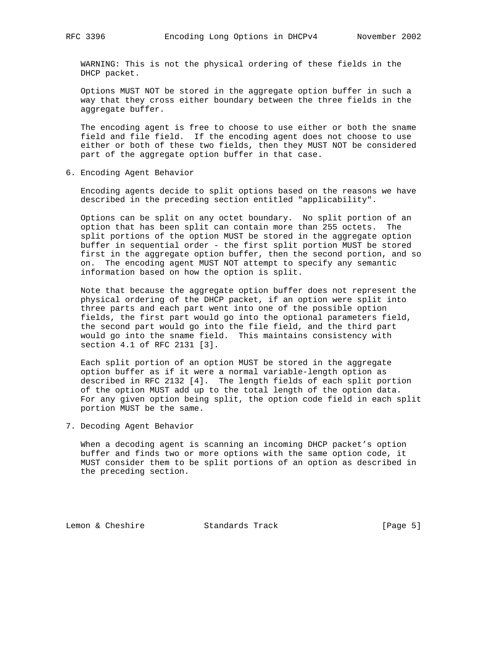WARNING: This is not the physical ordering of these fields in the DHCP packet.

 Options MUST NOT be stored in the aggregate option buffer in such a way that they cross either boundary between the three fields in the aggregate buffer.

 The encoding agent is free to choose to use either or both the sname field and file field. If the encoding agent does not choose to use either or both of these two fields, then they MUST NOT be considered part of the aggregate option buffer in that case.

6. Encoding Agent Behavior

 Encoding agents decide to split options based on the reasons we have described in the preceding section entitled "applicability".

 Options can be split on any octet boundary. No split portion of an option that has been split can contain more than 255 octets. The split portions of the option MUST be stored in the aggregate option buffer in sequential order - the first split portion MUST be stored first in the aggregate option buffer, then the second portion, and so on. The encoding agent MUST NOT attempt to specify any semantic information based on how the option is split.

 Note that because the aggregate option buffer does not represent the physical ordering of the DHCP packet, if an option were split into three parts and each part went into one of the possible option fields, the first part would go into the optional parameters field, the second part would go into the file field, and the third part would go into the sname field. This maintains consistency with section 4.1 of RFC 2131 [3].

 Each split portion of an option MUST be stored in the aggregate option buffer as if it were a normal variable-length option as described in RFC 2132 [4]. The length fields of each split portion of the option MUST add up to the total length of the option data. For any given option being split, the option code field in each split portion MUST be the same.

7. Decoding Agent Behavior

 When a decoding agent is scanning an incoming DHCP packet's option buffer and finds two or more options with the same option code, it MUST consider them to be split portions of an option as described in the preceding section.

Lemon & Cheshire Standards Track [Page 5]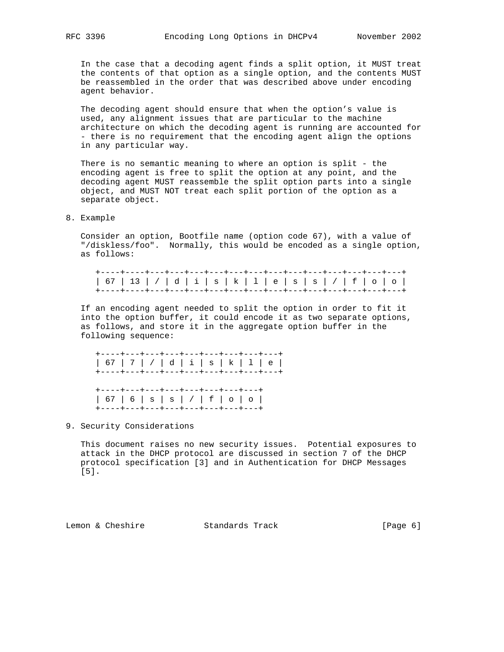In the case that a decoding agent finds a split option, it MUST treat the contents of that option as a single option, and the contents MUST be reassembled in the order that was described above under encoding agent behavior.

 The decoding agent should ensure that when the option's value is used, any alignment issues that are particular to the machine architecture on which the decoding agent is running are accounted for - there is no requirement that the encoding agent align the options in any particular way.

 There is no semantic meaning to where an option is split - the encoding agent is free to split the option at any point, and the decoding agent MUST reassemble the split option parts into a single object, and MUST NOT treat each split portion of the option as a separate object.

8. Example

 Consider an option, Bootfile name (option code 67), with a value of "/diskless/foo". Normally, this would be encoded as a single option, as follows:

 +----+----+---+---+---+---+---+---+---+---+---+---+---+---+---+ | 67 | 13 | / | d | i | s | k | l | e | s | s | / | f | o | o | +----+----+---+---+---+---+---+---+---+---+---+---+---+---+---+

 If an encoding agent needed to split the option in order to fit it into the option buffer, it could encode it as two separate options, as follows, and store it in the aggregate option buffer in the following sequence:

 +----+---+---+---+---+---+---+---+---+ | 67 | 7 | / | d | i | s | k | l | e | +----+---+---+---+---+---+---+---+---+ +----+---+---+---+---+---+---+---+ | 67 | 6 | s | s | / | f | o | o | +----+---+---+---+---+---+---+---+

9. Security Considerations

 This document raises no new security issues. Potential exposures to attack in the DHCP protocol are discussed in section 7 of the DHCP protocol specification [3] and in Authentication for DHCP Messages [5].

Lemon & Cheshire Standards Track [Page 6]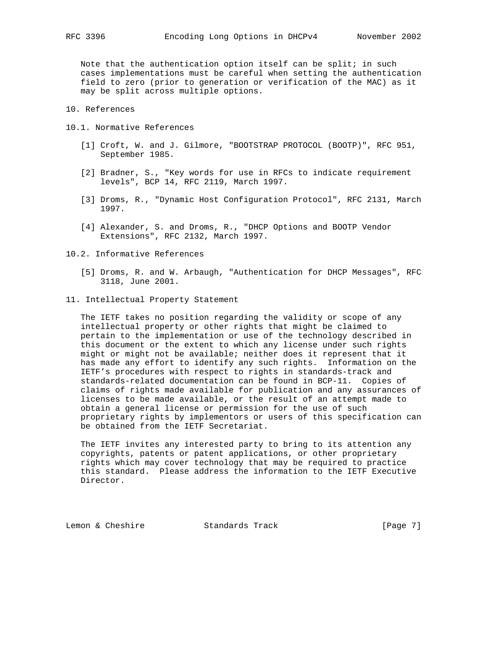Note that the authentication option itself can be split; in such cases implementations must be careful when setting the authentication field to zero (prior to generation or verification of the MAC) as it may be split across multiple options.

10. References

- 10.1. Normative References
	- [1] Croft, W. and J. Gilmore, "BOOTSTRAP PROTOCOL (BOOTP)", RFC 951, September 1985.
	- [2] Bradner, S., "Key words for use in RFCs to indicate requirement levels", BCP 14, RFC 2119, March 1997.
	- [3] Droms, R., "Dynamic Host Configuration Protocol", RFC 2131, March 1997.
	- [4] Alexander, S. and Droms, R., "DHCP Options and BOOTP Vendor Extensions", RFC 2132, March 1997.
- 10.2. Informative References
	- [5] Droms, R. and W. Arbaugh, "Authentication for DHCP Messages", RFC 3118, June 2001.
- 11. Intellectual Property Statement

 The IETF takes no position regarding the validity or scope of any intellectual property or other rights that might be claimed to pertain to the implementation or use of the technology described in this document or the extent to which any license under such rights might or might not be available; neither does it represent that it has made any effort to identify any such rights. Information on the IETF's procedures with respect to rights in standards-track and standards-related documentation can be found in BCP-11. Copies of claims of rights made available for publication and any assurances of licenses to be made available, or the result of an attempt made to obtain a general license or permission for the use of such proprietary rights by implementors or users of this specification can be obtained from the IETF Secretariat.

 The IETF invites any interested party to bring to its attention any copyrights, patents or patent applications, or other proprietary rights which may cover technology that may be required to practice this standard. Please address the information to the IETF Executive Director.

Lemon & Cheshire Standards Track [Page 7]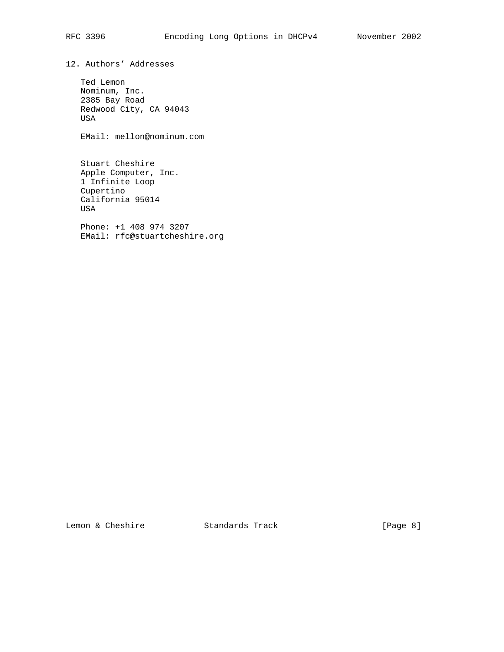12. Authors' Addresses

 Ted Lemon Nominum, Inc. 2385 Bay Road Redwood City, CA 94043 USA

EMail: mellon@nominum.com

 Stuart Cheshire Apple Computer, Inc. 1 Infinite Loop Cupertino California 95014 USA

 Phone: +1 408 974 3207 EMail: rfc@stuartcheshire.org